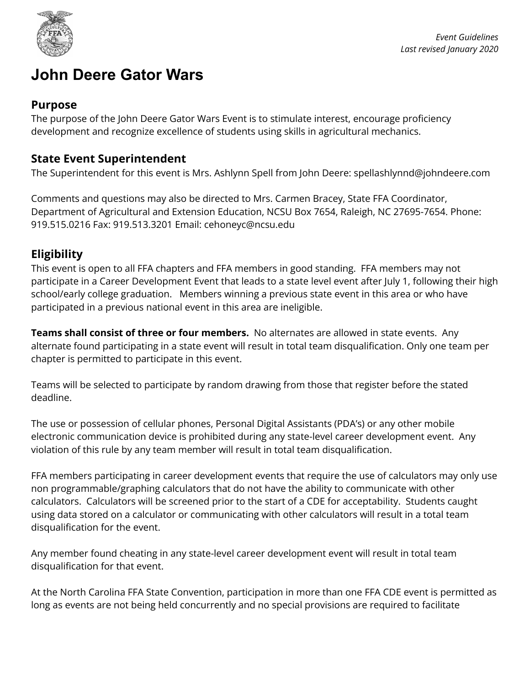

# **John Deere Gator Wars**

#### **Purpose**

The purpose of the John Deere Gator Wars Event is to stimulate interest, encourage proficiency development and recognize excellence of students using skills in agricultural mechanics.

#### **State Event Superintendent**

The Superintendent for this event is Mrs. Ashlynn Spell from John Deere: spellashlynnd@johndeere.com

Comments and questions may also be directed to Mrs. Carmen Bracey, State FFA Coordinator, Department of Agricultural and Extension Education, NCSU Box 7654, Raleigh, NC 27695-7654. Phone: 919.515.0216 Fax: 919.513.3201 Email: cehoneyc@ncsu.edu

### **Eligibility**

This event is open to all FFA chapters and FFA members in good standing. FFA members may not participate in a Career Development Event that leads to a state level event after July 1, following their high school/early college graduation. Members winning a previous state event in this area or who have participated in a previous national event in this area are ineligible.

**Teams shall consist of three or four members.** No alternates are allowed in state events. Any alternate found participating in a state event will result in total team disqualification. Only one team per chapter is permitted to participate in this event.

Teams will be selected to participate by random drawing from those that register before the stated deadline.

The use or possession of cellular phones, Personal Digital Assistants (PDA's) or any other mobile electronic communication device is prohibited during any state-level career development event. Any violation of this rule by any team member will result in total team disqualification.

FFA members participating in career development events that require the use of calculators may only use non programmable/graphing calculators that do not have the ability to communicate with other calculators. Calculators will be screened prior to the start of a CDE for acceptability. Students caught using data stored on a calculator or communicating with other calculators will result in a total team disqualification for the event.

Any member found cheating in any state-level career development event will result in total team disqualification for that event.

At the North Carolina FFA State Convention, participation in more than one FFA CDE event is permitted as long as events are not being held concurrently and no special provisions are required to facilitate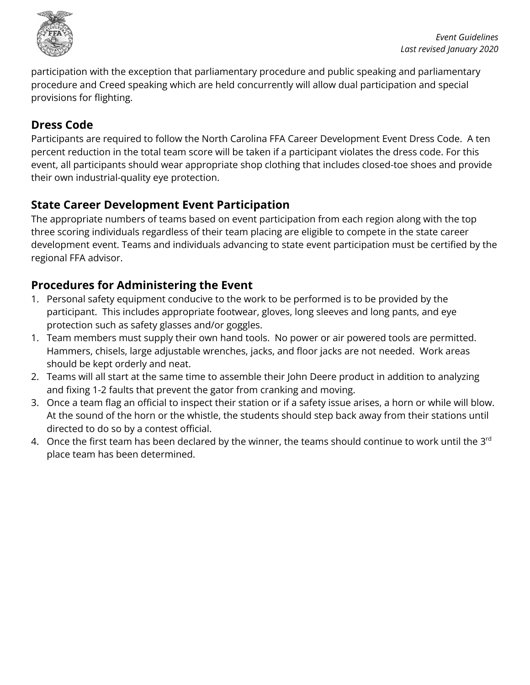

participation with the exception that parliamentary procedure and public speaking and parliamentary procedure and Creed speaking which are held concurrently will allow dual participation and special provisions for flighting.

# **Dress Code**

Participants are required to follow the North Carolina FFA Career Development Event Dress Code. A ten percent reduction in the total team score will be taken if a participant violates the dress code. For this event, all participants should wear appropriate shop clothing that includes closed-toe shoes and provide their own industrial-quality eye protection.

# **State Career Development Event Participation**

The appropriate numbers of teams based on event participation from each region along with the top three scoring individuals regardless of their team placing are eligible to compete in the state career development event. Teams and individuals advancing to state event participation must be certified by the regional FFA advisor.

# **Procedures for Administering the Event**

- 1. Personal safety equipment conducive to the work to be performed is to be provided by the participant. This includes appropriate footwear, gloves, long sleeves and long pants, and eye protection such as safety glasses and/or goggles.
- 1. Team members must supply their own hand tools. No power or air powered tools are permitted. Hammers, chisels, large adjustable wrenches, jacks, and floor jacks are not needed. Work areas should be kept orderly and neat.
- 2. Teams will all start at the same time to assemble their John Deere product in addition to analyzing and fixing 1-2 faults that prevent the gator from cranking and moving.
- 3. Once a team flag an official to inspect their station or if a safety issue arises, a horn or while will blow. At the sound of the horn or the whistle, the students should step back away from their stations until directed to do so by a contest official.
- 4.  $\,$  Once the first team has been declared by the winner, the teams should continue to work until the 3 $^{\rm rd}$ place team has been determined.